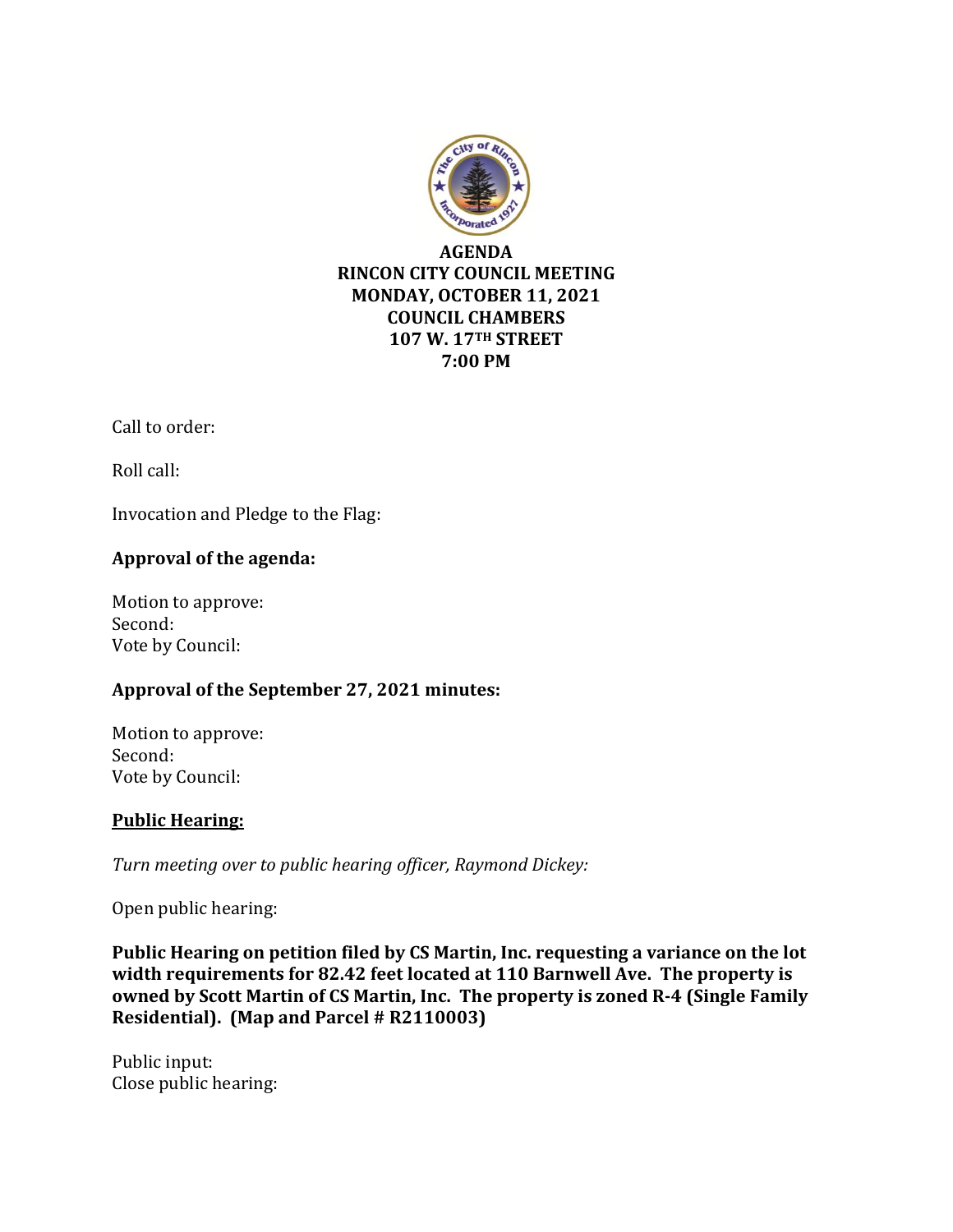

Call to order:

Roll call:

Invocation and Pledge to the Flag:

# **Approval of the agenda:**

Motion to approve: Second: Vote by Council:

### **Approval of the September 27, 2021 minutes:**

Motion to approve: Second: Vote by Council:

### **Public Hearing:**

*Turn meeting over to public hearing officer, Raymond Dickey:*

Open public hearing:

**Public Hearing on petition filed by CS Martin, Inc. requesting a variance on the lot width requirements for 82.42 feet located at 110 Barnwell Ave. The property is owned by Scott Martin of CS Martin, Inc. The property is zoned R-4 (Single Family Residential). (Map and Parcel # R2110003)**

Public input: Close public hearing: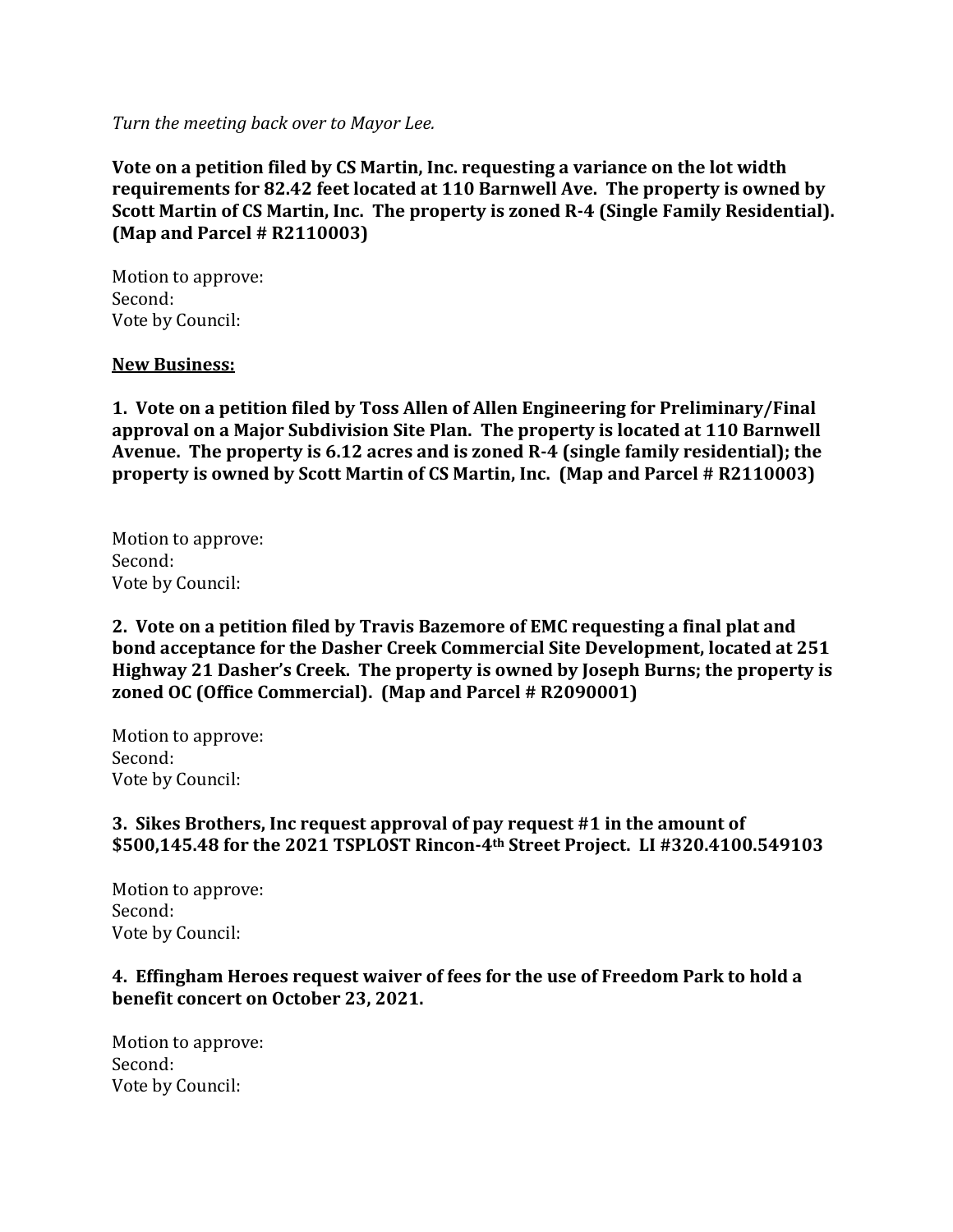*Turn the meeting back over to Mayor Lee.*

**Vote on a petition filed by CS Martin, Inc. requesting a variance on the lot width requirements for 82.42 feet located at 110 Barnwell Ave. The property is owned by Scott Martin of CS Martin, Inc. The property is zoned R-4 (Single Family Residential). (Map and Parcel # R2110003)**

Motion to approve: Second: Vote by Council:

#### **New Business:**

**1. Vote on a petition filed by Toss Allen of Allen Engineering for Preliminary/Final approval on a Major Subdivision Site Plan. The property is located at 110 Barnwell Avenue. The property is 6.12 acres and is zoned R-4 (single family residential); the property is owned by Scott Martin of CS Martin, Inc. (Map and Parcel # R2110003)**

Motion to approve: Second: Vote by Council:

**2. Vote on a petition filed by Travis Bazemore of EMC requesting a final plat and bond acceptance for the Dasher Creek Commercial Site Development, located at 251 Highway 21 Dasher's Creek. The property is owned by Joseph Burns; the property is zoned OC (Office Commercial). (Map and Parcel # R2090001)** 

Motion to approve: Second: Vote by Council:

### **3. Sikes Brothers, Inc request approval of pay request #1 in the amount of \$500,145.48 for the 2021 TSPLOST Rincon-4th Street Project. LI #320.4100.549103**

Motion to approve: Second: Vote by Council:

**4. Effingham Heroes request waiver of fees for the use of Freedom Park to hold a benefit concert on October 23, 2021.** 

Motion to approve: Second: Vote by Council: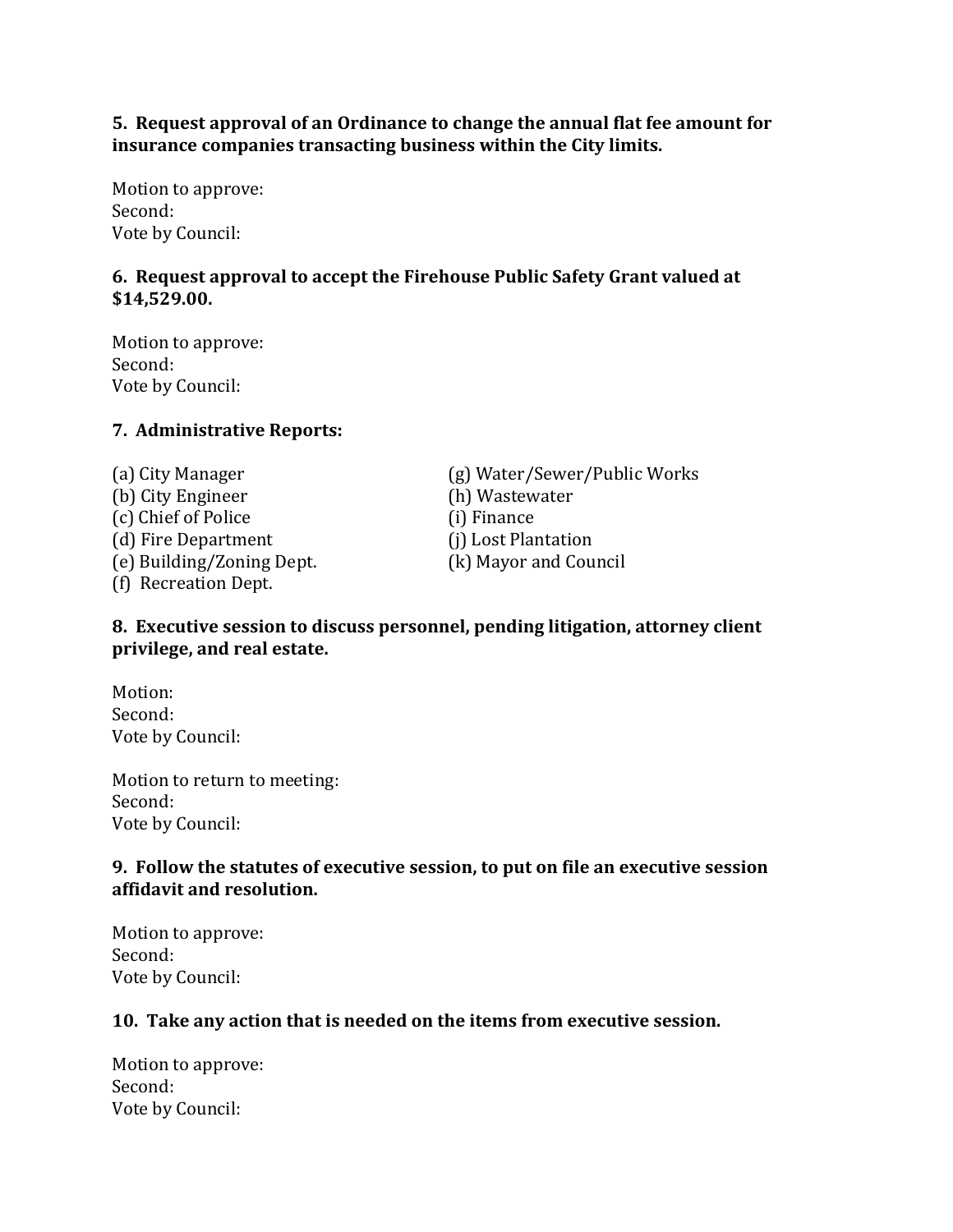**5. Request approval of an Ordinance to change the annual flat fee amount for insurance companies transacting business within the City limits.** 

Motion to approve: Second: Vote by Council:

## **6. Request approval to accept the Firehouse Public Safety Grant valued at \$14,529.00.**

Motion to approve: Second: Vote by Council:

### **7. Administrative Reports:**

(b) City Engineer (h) Wastewater (c) Chief of Police (i) Finance (d) Fire Department (j) Lost Plantation (e) Building/Zoning Dept. (k) Mayor and Council (f) Recreation Dept.

(a) City Manager (g) Water/Sewer/Public Works

### **8. Executive session to discuss personnel, pending litigation, attorney client privilege, and real estate.**

Motion: Second: Vote by Council:

Motion to return to meeting: Second: Vote by Council:

### **9. Follow the statutes of executive session, to put on file an executive session affidavit and resolution.**

Motion to approve: Second: Vote by Council:

### **10. Take any action that is needed on the items from executive session.**

Motion to approve: Second: Vote by Council: